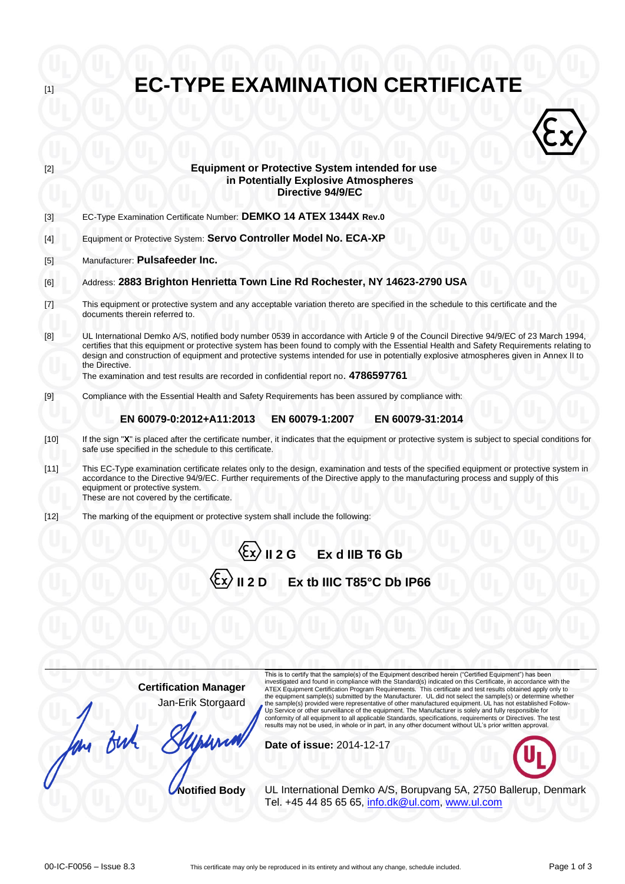| $[1]$  | <b>EC-TYPE EXAMINATION CERTIFICATE</b>                                                                                                                                                                                                                                                                                                                                                                                                                                                                                                |  |  |  |  |
|--------|---------------------------------------------------------------------------------------------------------------------------------------------------------------------------------------------------------------------------------------------------------------------------------------------------------------------------------------------------------------------------------------------------------------------------------------------------------------------------------------------------------------------------------------|--|--|--|--|
|        |                                                                                                                                                                                                                                                                                                                                                                                                                                                                                                                                       |  |  |  |  |
| [2]    | <b>Equipment or Protective System intended for use</b><br>in Potentially Explosive Atmospheres<br>Directive 94/9/EC                                                                                                                                                                                                                                                                                                                                                                                                                   |  |  |  |  |
| $[3]$  | EC-Type Examination Certificate Number: DEMKO 14 ATEX 1344X Rev.0                                                                                                                                                                                                                                                                                                                                                                                                                                                                     |  |  |  |  |
| [4]    | Equipment or Protective System: Servo Controller Model No. ECA-XP                                                                                                                                                                                                                                                                                                                                                                                                                                                                     |  |  |  |  |
| $[5]$  | Manufacturer: Pulsafeeder Inc.                                                                                                                                                                                                                                                                                                                                                                                                                                                                                                        |  |  |  |  |
| [6]    | Address: 2883 Brighton Henrietta Town Line Rd Rochester, NY 14623-2790 USA                                                                                                                                                                                                                                                                                                                                                                                                                                                            |  |  |  |  |
| $[7]$  | This equipment or protective system and any acceptable variation thereto are specified in the schedule to this certificate and the<br>documents therein referred to.                                                                                                                                                                                                                                                                                                                                                                  |  |  |  |  |
| [8]    | UL International Demko A/S, notified body number 0539 in accordance with Article 9 of the Council Directive 94/9/EC of 23 March 1994,<br>certifies that this equipment or protective system has been found to comply with the Essential Health and Safety Requirements relating to<br>design and construction of equipment and protective systems intended for use in potentially explosive atmospheres given in Annex II to<br>the Directive.<br>The examination and test results are recorded in confidential report no. 4786597761 |  |  |  |  |
| $[9]$  | Compliance with the Essential Health and Safety Requirements has been assured by compliance with:                                                                                                                                                                                                                                                                                                                                                                                                                                     |  |  |  |  |
|        | EN 60079-0:2012+A11:2013<br>EN 60079-1:2007<br>EN 60079-31:2014                                                                                                                                                                                                                                                                                                                                                                                                                                                                       |  |  |  |  |
| $[10]$ | If the sign "X" is placed after the certificate number, it indicates that the equipment or protective system is subject to special conditions for<br>safe use specified in the schedule to this certificate.                                                                                                                                                                                                                                                                                                                          |  |  |  |  |
| [11]   | This EC-Type examination certificate relates only to the design, examination and tests of the specified equipment or protective system in<br>accordance to the Directive 94/9/EC. Further requirements of the Directive apply to the manufacturing process and supply of this<br>equipment or protective system.<br>These are not covered by the certificate.                                                                                                                                                                         |  |  |  |  |
| $[12]$ | The marking of the equipment or protective system shall include the following:                                                                                                                                                                                                                                                                                                                                                                                                                                                        |  |  |  |  |
|        | $\sqrt{\frac{2}{x}}$ II 2 G Ex d IIB T6 Gb                                                                                                                                                                                                                                                                                                                                                                                                                                                                                            |  |  |  |  |
|        | $\langle \xi_{\rm X} \rangle$ II 2 D<br>Ex tb IIIC T85°C Db IP66                                                                                                                                                                                                                                                                                                                                                                                                                                                                      |  |  |  |  |
|        |                                                                                                                                                                                                                                                                                                                                                                                                                                                                                                                                       |  |  |  |  |
|        |                                                                                                                                                                                                                                                                                                                                                                                                                                                                                                                                       |  |  |  |  |
|        |                                                                                                                                                                                                                                                                                                                                                                                                                                                                                                                                       |  |  |  |  |

**Certification Manager** Jan-Erik Storgaard for But

This is to certify that the sample(s) of the Equipment described herein ("Certified Equipment") has been<br>investigated and found in compliance with the Standard(s) indicated on this Certificate, in accordance with the<br>ATEX the sample(s) provided were representative of other manufactured equipment. UL has not established Follow-<br>Up Service or other surveillance of the equipment. The Manufacturer is solely and fully responsible for<br>conformity

**Date of issue:** 2014-12-17

**Notified Body** UL International Demko A/S, Borupvang 5A, 2750 Ballerup, Denmark Tel. +45 44 85 65 65, [info.dk@ul.com,](mailto:info.dk@ul.com) [www.ul.com](http://www.ul.com/)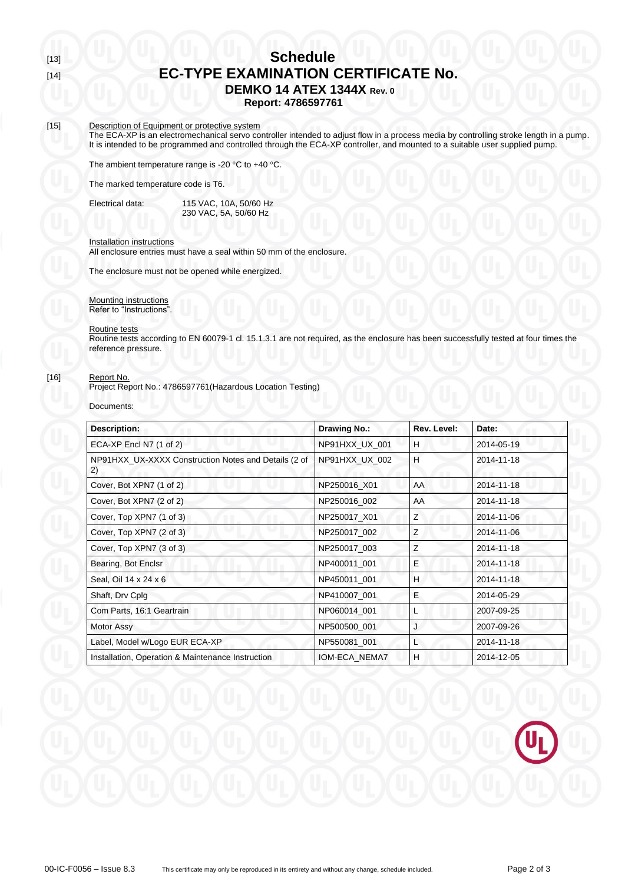# [13] **Schedule** [14] **EC-TYPE EXAMINATION CERTIFICATE No. DEMKO 14 ATEX 1344X Rev. 0**

**Report: 4786597761**

## [15] Description of Equipment or protective system

**The ECA-XP** is an electromechanical servo controller intended to adjust flow in a process media by controlling stroke length in a pump. It is intended to be programmed and controlled through the ECA-XP controller, and mounted to a suitable user supplied pump.

The ambient temperature range is -20  $\degree$ C to +40  $\degree$ C.

The marked temperature code is T6.

Electrical data: 115 VAC, 10A, 50/60 Hz 230 VAC, 5A, 50/60 Hz

#### Installation instructions

All enclosure entries must have a seal within 50 mm of the enclosure.

The enclosure must not be opened while energized.

Mounting instructions Refer to "Instructions".

#### Routine tests

Routine tests according to EN 60079-1 cl. 15.1.3.1 are not required, as the enclosure has been successfully tested at four times the reference pressure.

## [16] Report No.

Project Report No.: 4786597761(Hazardous Location Testing)

#### Documents:

| <b>Description:</b>                                        | <b>Drawing No.:</b> | Rev. Level: | Date:      |
|------------------------------------------------------------|---------------------|-------------|------------|
| ECA-XP Encl N7 (1 of 2)                                    | NP91HXX_UX_001      | H           | 2014-05-19 |
| NP91HXX_UX-XXXX Construction Notes and Details (2 of<br>2) | NP91HXX_UX_002      | H           | 2014-11-18 |
| Cover, Bot XPN7 (1 of 2)                                   | NP250016 X01        | AA          | 2014-11-18 |
| Cover, Bot XPN7 (2 of 2)                                   | NP250016_002        | AA          | 2014-11-18 |
| Cover, Top XPN7 (1 of 3)                                   | NP250017_X01        | Z           | 2014-11-06 |
| Cover, Top XPN7 (2 of 3)                                   | NP250017_002        | Ζ           | 2014-11-06 |
| Cover, Top XPN7 (3 of 3)                                   | NP250017 003        | Z           | 2014-11-18 |
| Bearing, Bot Enclsr                                        | NP400011 001        | E           | 2014-11-18 |
| Seal, Oil 14 x 24 x 6                                      | NP450011_001        | H           | 2014-11-18 |
| Shaft, Drv Cplg                                            | NP410007 001        | E           | 2014-05-29 |
| Com Parts, 16:1 Geartrain                                  | NP060014_001        |             | 2007-09-25 |
| Motor Assy                                                 | NP500500_001        | J           | 2007-09-26 |
| Label, Model w/Logo EUR ECA-XP                             | NP550081_001        | L           | 2014-11-18 |
| Installation, Operation & Maintenance Instruction          | IOM-ECA NEMA7       | Н           | 2014-12-05 |